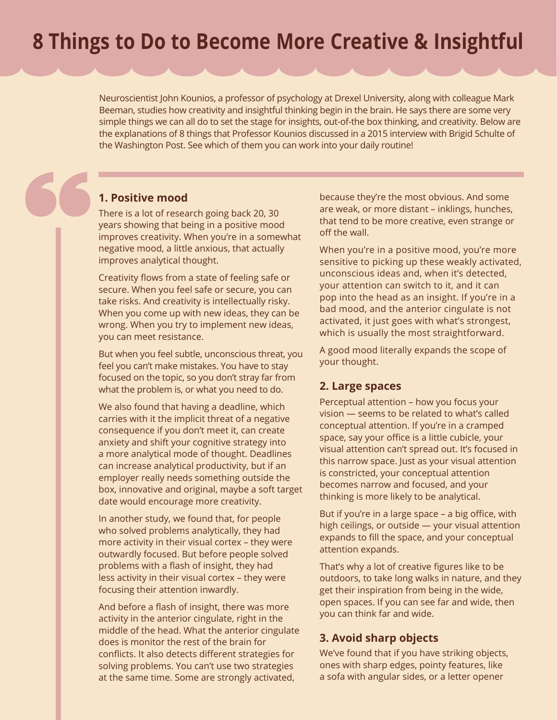# **8 Things to Do to Become More Creative & Insightful**

Neuroscientist John Kounios, a professor of psychology at Drexel University, along with colleague Mark Beeman, studies how creativity and insightful thinking begin in the brain. He says there are some very simple things we can all do to set the stage for insights, out-of-the box thinking, and creativity. Below are the explanations of 8 things that Professor Kounios discussed in a 2015 interview with Brigid Schulte of the Washington Post. See which of them you can work into your daily routine!

#### **1. Positive mood**

There is a lot of research going back 20, 30 years showing that being in a positive mood improves creativity. When you're in a somewhat negative mood, a little anxious, that actually improves analytical thought.

Creativity flows from a state of feeling safe or secure. When you feel safe or secure, you can take risks. And creativity is intellectually risky. When you come up with new ideas, they can be wrong. When you try to implement new ideas, you can meet resistance.

But when you feel subtle, unconscious threat, you feel you can't make mistakes. You have to stay focused on the topic, so you don't stray far from what the problem is, or what you need to do.

We also found that having a deadline, which carries with it the implicit threat of a negative consequence if you don't meet it, can create anxiety and shift your cognitive strategy into a more analytical mode of thought. Deadlines can increase analytical productivity, but if an employer really needs something outside the box, innovative and original, maybe a soft target date would encourage more creativity.

In another study, we found that, for people who solved problems analytically, they had more activity in their visual cortex – they were outwardly focused. But before people solved problems with a flash of insight, they had less activity in their visual cortex – they were focusing their attention inwardly.

And before a flash of insight, there was more activity in the anterior cingulate, right in the middle of the head. What the anterior cingulate does is monitor the rest of the brain for conflicts. It also detects different strategies for solving problems. You can't use two strategies at the same time. Some are strongly activated,

because they're the most obvious. And some are weak, or more distant – inklings, hunches, that tend to be more creative, even strange or off the wall.

When you're in a positive mood, you're more sensitive to picking up these weakly activated, unconscious ideas and, when it's detected, your attention can switch to it, and it can pop into the head as an insight. If you're in a bad mood, and the anterior cingulate is not activated, it just goes with what's strongest, which is usually the most straightforward.

A good mood literally expands the scope of your thought.

#### **2. Large spaces**

Perceptual attention – how you focus your vision — seems to be related to what's called conceptual attention. If you're in a cramped space, say your office is a little cubicle, your visual attention can't spread out. It's focused in this narrow space. Just as your visual attention is constricted, your conceptual attention becomes narrow and focused, and your thinking is more likely to be analytical.

But if you're in a large space – a big office, with high ceilings, or outside — your visual attention expands to fill the space, and your conceptual attention expands.

That's why a lot of creative figures like to be outdoors, to take long walks in nature, and they get their inspiration from being in the wide, open spaces. If you can see far and wide, then you can think far and wide.

#### **3. Avoid sharp objects**

We've found that if you have striking objects, ones with sharp edges, pointy features, like a sofa with angular sides, or a letter opener